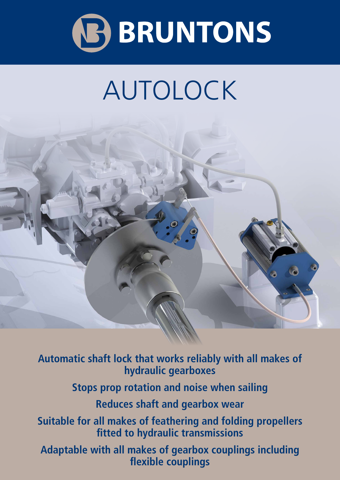

## AUTOLOCK



**Automatic shaft lock that works reliably with all makes of hydraulic gearboxes Stops prop rotation and noise when sailing Reduces shaft and gearbox wear Suitable for all makes of feathering and folding propellers fitted to hydraulic transmissions Adaptable with all makes of gearbox couplings including flexible couplings**